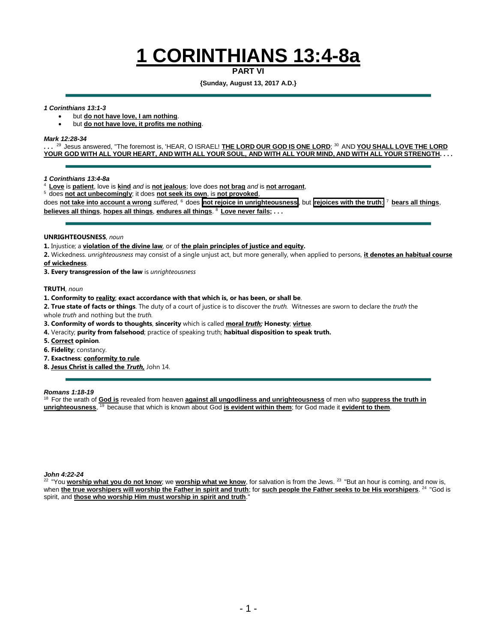# **1 CORINTHIANS 13:4-8a**

**PART VI**

**{Sunday, August 13, 2017 A.D.}**

#### *1 Corinthians 13:1-3*

• but **do not have love, I am nothing**.

• but **do not have love, it profits me nothing**.

#### *Mark 12:28-34*

**. . .** <sup>29</sup>Jesus answered, "The foremost is, 'HEAR, O ISRAEL! **THE LORD OUR GOD IS ONE LORD**; <sup>30</sup>AND **YOU SHALL LOVE THE LORD** YOUR GOD WITH ALL YOUR HEART, AND WITH ALL YOUR SOUL, AND WITH ALL YOUR MIND, AND WITH ALL YOUR STRENGTH. . . .

*1 Corinthians 13:4-8a*

- <sup>4</sup>**Love** is **patient**, love is **kind** *and* is **not jealous**; love does **not brag** *and* is **not arrogant**,
- <sup>5</sup>does **not act unbecomingly**; it does **not seek its own**, is **not provoked**,

does **not take into account a wrong** *suffered,* <sup>6</sup>does **not rejoice in unrighteousness** , but **rejoices with the truth**; <sup>7</sup>**bears all things**, **believes all things**, **hopes all things**, **endures all things**. <sup>8</sup>**Love never fails; . . .**

#### **UNRIGHTEOUSNESS**, *noun*

**1.** Injustice; a **violation of the divine law**, or of **the plain principles of justice and equity.**

**2.** Wickedness. *unrighteousness* may consist of a single unjust act, but more generally, when applied to persons, **it denotes an habitual course of wickedness**.

**3. Every transgression of the law** is *unrighteousness*

**TRUTH**, *noun*

**1. Conformity to reality**; **exact accordance with that which is, or has been, or shall be**.

**2. True state of facts or things**. The duty of a court of justice is to discover the *truth.* Witnesses are sworn to declare the *truth* the whole *truth* and nothing but the *truth.*

**3. Conformity of words to thoughts**, **sincerity** which is called **moral** *truth;* **Honesty**; **virtue**.

- **4.** Veracity; **purity from falsehood**; practice of speaking truth; **habitual disposition to speak truth.**
- **5. Correct opinion**.
- **6. Fidelity**; constancy.
- **7. Exactness**; **conformity to rule**.
- **8. Jesus Christ is called the** *Truth,* John 14.

#### *Romans 1:18-19*

<sup>18</sup> For the wrath of **God is** revealed from heaven **against all ungodliness and unrighteousness** of men who **suppress the truth in unrighteousness**, <sup>19</sup> because that which is known about God is evident within them; for God made it evident to them.

*John 4:22-24*

22 "You worship what you do not know; we worship what we know, for salvation is from the Jews. <sup>23</sup> "But an hour is coming, and now is, when **the true worshipers will worship the Father in spirit and truth**; for **such people the Father seeks to be His worshipers**. 24 "God is spirit, and **those who worship Him must worship in spirit and truth**."